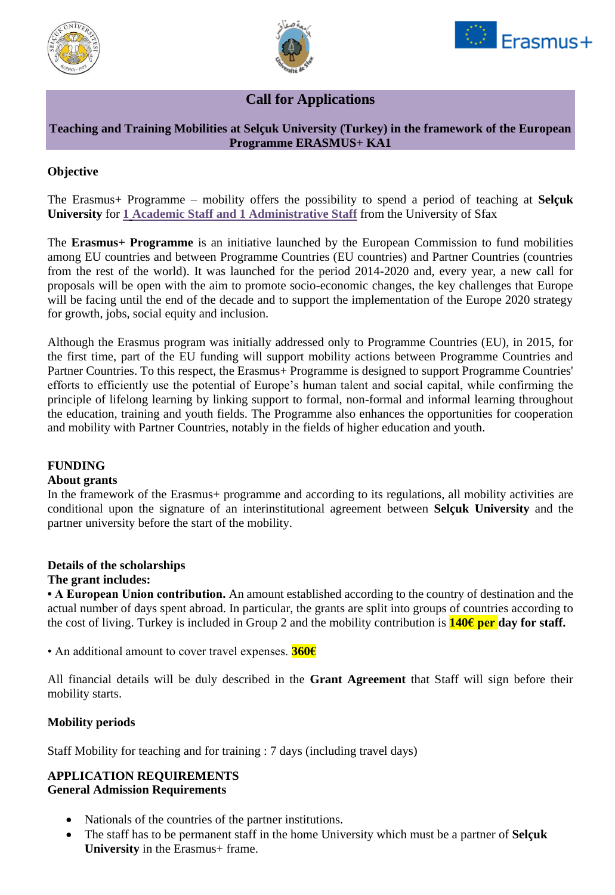





# **Call for Applications**

## **Teaching and Training Mobilities at Selçuk University (Turkey) in the framework of the European Programme ERASMUS+ KA1**

## **Objective**

The Erasmus+ Programme – mobility offers the possibility to spend a period of teaching at **Selçuk University** for **1 Academic Staff and 1 Administrative Staff** from the University of Sfax

The **Erasmus+ Programme** is an initiative launched by the European Commission to fund mobilities among EU countries and between Programme Countries (EU countries) and Partner Countries (countries from the rest of the world). It was launched for the period 2014-2020 and, every year, a new call for proposals will be open with the aim to promote socio-economic changes, the key challenges that Europe will be facing until the end of the decade and to support the implementation of the Europe 2020 strategy for growth, jobs, social equity and inclusion.

Although the Erasmus program was initially addressed only to Programme Countries (EU), in 2015, for the first time, part of the EU funding will support mobility actions between Programme Countries and Partner Countries. To this respect, the Erasmus+ Programme is designed to support Programme Countries' efforts to efficiently use the potential of Europe's human talent and social capital, while confirming the principle of lifelong learning by linking support to formal, non-formal and informal learning throughout the education, training and youth fields. The Programme also enhances the opportunities for cooperation and mobility with Partner Countries, notably in the fields of higher education and youth.

## **FUNDING**

#### **About grants**

In the framework of the Erasmus+ programme and according to its regulations, all mobility activities are conditional upon the signature of an interinstitutional agreement between **Selçuk University** and the partner university before the start of the mobility.

# **Details of the scholarships**

#### **The grant includes:**

**• A European Union contribution.** An amount established according to the country of destination and the actual number of days spent abroad. In particular, the grants are split into groups of countries according to the cost of living. Turkey is included in Group 2 and the mobility contribution is **140€ per day for staff.**

• An additional amount to cover travel expenses. **360€**

All financial details will be duly described in the **Grant Agreement** that Staff will sign before their mobility starts.

#### **Mobility periods**

Staff Mobility for teaching and for training : 7 days (including travel days)

## **APPLICATION REQUIREMENTS**

#### **General Admission Requirements**

- Nationals of the countries of the partner institutions.
- The staff has to be permanent staff in the home University which must be a partner of **Selçuk University** in the Erasmus+ frame.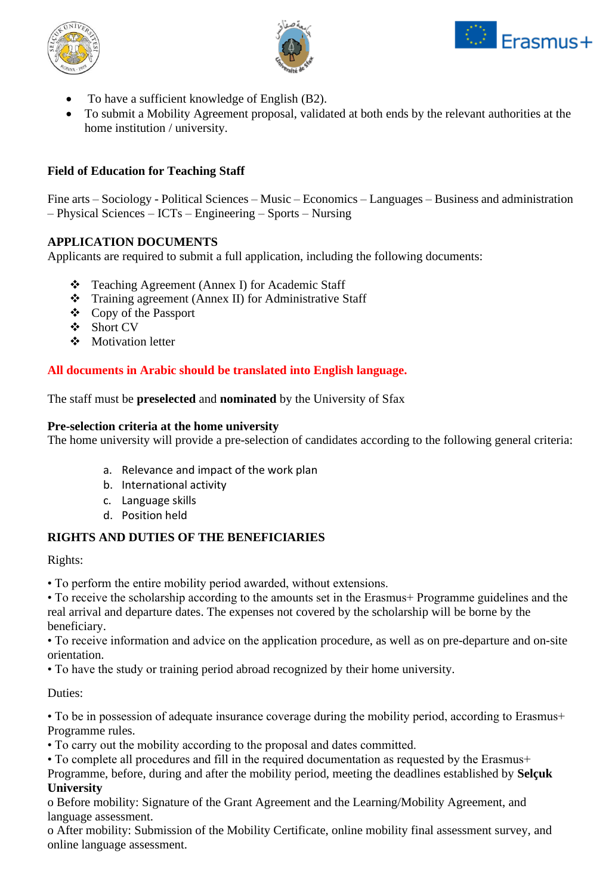





- To have a sufficient knowledge of English (B2).
- To submit a Mobility Agreement proposal, validated at both ends by the relevant authorities at the home institution / university.

## **Field of Education for Teaching Staff**

Fine arts – Sociology - Political Sciences – Music – Economics – Languages – Business and administration – Physical Sciences – ICTs – Engineering – Sports – Nursing

### **APPLICATION DOCUMENTS**

Applicants are required to submit a full application, including the following documents:

- ❖ Teaching Agreement (Annex I) for Academic Staff
- ❖ Training agreement (Annex II) for Administrative Staff
- ❖ Copy of the Passport
- ❖ Short CV
- ❖ Motivation letter

### **All documents in Arabic should be translated into English language.**

The staff must be **preselected** and **nominated** by the University of Sfax

#### **Pre-selection criteria at the home university**

The home university will provide a pre-selection of candidates according to the following general criteria:

- a. Relevance and impact of the work plan
- b. International activity
- c. Language skills
- d. Position held

## **RIGHTS AND DUTIES OF THE BENEFICIARIES**

Rights:

• To perform the entire mobility period awarded, without extensions.

• To receive the scholarship according to the amounts set in the Erasmus+ Programme guidelines and the real arrival and departure dates. The expenses not covered by the scholarship will be borne by the beneficiary.

• To receive information and advice on the application procedure, as well as on pre-departure and on-site orientation.

• To have the study or training period abroad recognized by their home university.

Duties:

• To be in possession of adequate insurance coverage during the mobility period, according to Erasmus+ Programme rules.

• To carry out the mobility according to the proposal and dates committed.

• To complete all procedures and fill in the required documentation as requested by the Erasmus+ Programme, before, during and after the mobility period, meeting the deadlines established by **Selçuk University**

o Before mobility: Signature of the Grant Agreement and the Learning/Mobility Agreement, and language assessment.

o After mobility: Submission of the Mobility Certificate, online mobility final assessment survey, and online language assessment.